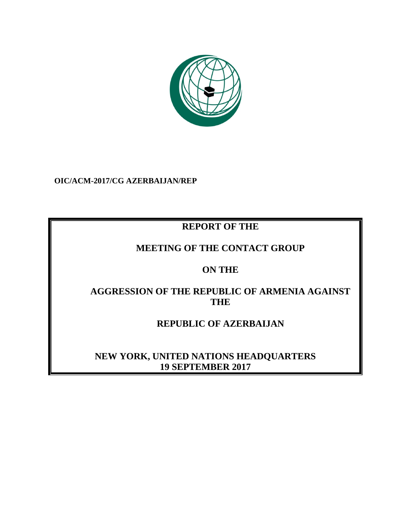

**OIC/ACM-2017/CG AZERBAIJAN/REP**

# **REPORT OF THE**

## **MEETING OF THE CONTACT GROUP**

### **ON THE**

### **AGGRESSION OF THE REPUBLIC OF ARMENIA AGAINST THE**

## **REPUBLIC OF AZERBAIJAN**

## **NEW YORK, UNITED NATIONS HEADQUARTERS 19 SEPTEMBER 2017**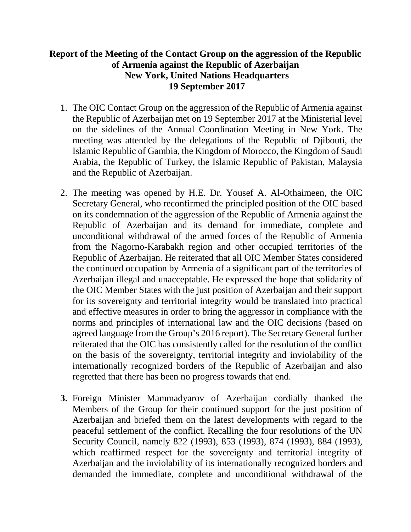### **Report of the Meeting of the Contact Group on the aggression of the Republic of Armenia against the Republic of Azerbaijan New York, United Nations Headquarters 19 September 2017**

- 1. The OIC Contact Group on the aggression of the Republic of Armenia against the Republic of Azerbaijan met on 19 September 2017 at the Ministerial level on the sidelines of the Annual Coordination Meeting in New York. The meeting was attended by the delegations of the Republic of Djibouti, the Islamic Republic of Gambia, the Kingdom of Morocco, the Kingdom of Saudi Arabia, the Republic of Turkey, the Islamic Republic of Pakistan, Malaysia and the Republic of Azerbaijan.
- 2. The meeting was opened by H.E. Dr. Yousef A. Al-Othaimeen, the OIC Secretary General, who reconfirmed the principled position of the OIC based on its condemnation of the aggression of the Republic of Armenia against the Republic of Azerbaijan and its demand for immediate, complete and unconditional withdrawal of the armed forces of the Republic of Armenia from the Nagorno-Karabakh region and other occupied territories of the Republic of Azerbaijan. He reiterated that all OIC Member States considered the continued occupation by Armenia of a significant part of the territories of Azerbaijan illegal and unacceptable. He expressed the hope that solidarity of the OIC Member States with the just position of Azerbaijan and their support for its sovereignty and territorial integrity would be translated into practical and effective measures in order to bring the aggressor in compliance with the norms and principles of international law and the OIC decisions (based on agreed language from the Group's 2016 report). The Secretary General further reiterated that the OIC has consistently called for the resolution of the conflict on the basis of the sovereignty, territorial integrity and inviolability of the internationally recognized borders of the Republic of Azerbaijan and also regretted that there has been no progress towards that end.
- **3.** Foreign Minister Mammadyarov of Azerbaijan cordially thanked the Members of the Group for their continued support for the just position of Azerbaijan and briefed them on the latest developments with regard to the peaceful settlement of the conflict. Recalling the four resolutions of the UN Security Council, namely 822 (1993), 853 (1993), 874 (1993), 884 (1993), which reaffirmed respect for the sovereignty and territorial integrity of Azerbaijan and the inviolability of its internationally recognized borders and demanded the immediate, complete and unconditional withdrawal of the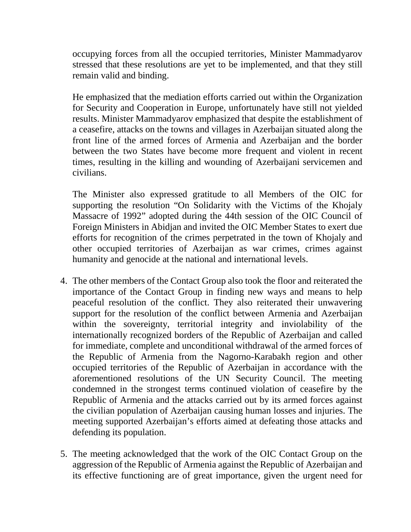occupying forces from all the occupied territories, Minister Mammadyarov stressed that these resolutions are yet to be implemented, and that they still remain valid and binding.

He emphasized that the mediation efforts carried out within the Organization for Security and Cooperation in Europe, unfortunately have still not yielded results. Minister Mammadyarov emphasized that despite the establishment of a ceasefire, attacks on the towns and villages in Azerbaijan situated along the front line of the armed forces of Armenia and Azerbaijan and the border between the two States have become more frequent and violent in recent times, resulting in the killing and wounding of Azerbaijani servicemen and civilians.

The Minister also expressed gratitude to all Members of the OIC for supporting the resolution "On Solidarity with the Victims of the Khojaly Massacre of 1992" adopted during the 44th session of the OIC Council of Foreign Ministers in Abidjan and invited the OIC Member States to exert due efforts for recognition of the crimes perpetrated in the town of Khojaly and other occupied territories of Azerbaijan as war crimes, crimes against humanity and genocide at the national and international levels.

- 4. The other members of the Contact Group also took the floor and reiterated the importance of the Contact Group in finding new ways and means to help peaceful resolution of the conflict. They also reiterated their unwavering support for the resolution of the conflict between Armenia and Azerbaijan within the sovereignty, territorial integrity and inviolability of the internationally recognized borders of the Republic of Azerbaijan and called for immediate, complete and unconditional withdrawal of the armed forces of the Republic of Armenia from the Nagorno-Karabakh region and other occupied territories of the Republic of Azerbaijan in accordance with the aforementioned resolutions of the UN Security Council. The meeting condemned in the strongest terms continued violation of ceasefire by the Republic of Armenia and the attacks carried out by its armed forces against the civilian population of Azerbaijan causing human losses and injuries. The meeting supported Azerbaijan's efforts aimed at defeating those attacks and defending its population.
- 5. The meeting acknowledged that the work of the OIC Contact Group on the aggression of the Republic of Armenia against the Republic of Azerbaijan and its effective functioning are of great importance, given the urgent need for